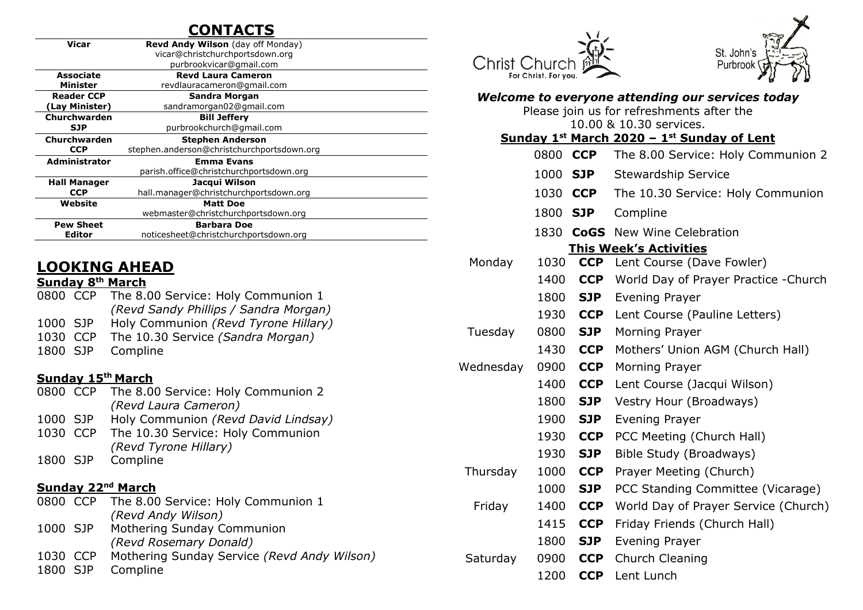# **CONTACTS**

|                      | vicar@christchurchportsdown.org<br>purbrookvicar@gmail.com<br><b>Revd Laura Cameron</b> |  |
|----------------------|-----------------------------------------------------------------------------------------|--|
|                      |                                                                                         |  |
|                      |                                                                                         |  |
| Associate            |                                                                                         |  |
| <b>Minister</b>      | revdlauracameron@gmail.com                                                              |  |
| <b>Reader CCP</b>    | Sandra Morgan                                                                           |  |
| (Lay Minister)       | sandramorgan02@gmail.com                                                                |  |
| Churchwarden         | <b>Bill Jeffery</b>                                                                     |  |
| <b>SJP</b>           | purbrookchurch@gmail.com                                                                |  |
| Churchwarden         | <b>Stephen Anderson</b>                                                                 |  |
| <b>CCP</b>           | stephen.anderson@christchurchportsdown.org                                              |  |
| <b>Administrator</b> | <b>Emma Evans</b>                                                                       |  |
|                      | parish.office@christchurchportsdown.org                                                 |  |
| <b>Hall Manager</b>  | Jacqui Wilson                                                                           |  |
| <b>CCP</b>           | hall.manager@christchurchportsdown.org                                                  |  |
| Website              | <b>Matt Doe</b>                                                                         |  |
|                      | webmaster@christchurchportsdown.org                                                     |  |
| <b>Pew Sheet</b>     | <b>Barbara Doe</b>                                                                      |  |
| <b>Editor</b>        | noticesheet@christchurchportsdown.org                                                   |  |

# **LOOKING AHEAD**

#### **Sunday 8 th March**

|          | 0800 CCP The 8.00 Service: Holy Communion 1 |
|----------|---------------------------------------------|
|          | (Revd Sandy Phillips / Sandra Morgan)       |
| 1000 SJP | Holy Communion (Revd Tyrone Hillary)        |
| 1030 CCP | The 10.30 Service (Sandra Morgan)           |
|          | 1800 SJP Compline                           |

#### **Sunday 15th March**

| 0800 CCP |          | The 8.00 Service: Holy Communion 2          |
|----------|----------|---------------------------------------------|
|          |          | (Revd Laura Cameron)                        |
| 1000 SJP |          | Holy Communion (Revd David Lindsay)         |
|          | 1030 CCP | The 10.30 Service: Holy Communion           |
|          |          | (Revd Tyrone Hillary)                       |
| 1800 SJP |          | Compline                                    |
|          |          |                                             |
|          |          | <b>Sunday 22<sup>nd</sup> March</b>         |
|          |          | 0800 CCP The 8.00 Service: Holy Communion 1 |
|          |          | (Revd Andy Wilson)                          |
| 1000 SJP |          | Mothering Sunday Communion                  |
|          |          | (Revd Rosemary Donald)                      |
| 1030 CCP |          | Mothering Sunday Service (Revd Andy Wilson) |
| 1800     | - SJP    | Compline                                    |

Christ Church



| Welcome to everyone attending our services today<br>Please join us for refreshments after the |          |            |                                            |  |  |  |  |  |
|-----------------------------------------------------------------------------------------------|----------|------------|--------------------------------------------|--|--|--|--|--|
|                                                                                               |          |            | 10.00 & 10.30 services.                    |  |  |  |  |  |
|                                                                                               |          |            | Sunday 1st March 2020 - 1st Sunday of Lent |  |  |  |  |  |
|                                                                                               | 0800 CCP |            | The 8.00 Service: Holy Communion 2         |  |  |  |  |  |
|                                                                                               | 1000 SJP |            | <b>Stewardship Service</b>                 |  |  |  |  |  |
|                                                                                               | 1030 CCP |            | The 10.30 Service: Holy Communion          |  |  |  |  |  |
|                                                                                               | 1800     | <b>SJP</b> | Compline                                   |  |  |  |  |  |
|                                                                                               |          |            | 1830 CoGS New Wine Celebration             |  |  |  |  |  |
| <b>This Week's Activities</b>                                                                 |          |            |                                            |  |  |  |  |  |
| Monday                                                                                        | 1030     | <b>CCP</b> | Lent Course (Dave Fowler)                  |  |  |  |  |  |
|                                                                                               | 1400     | <b>CCP</b> | World Day of Prayer Practice - Church      |  |  |  |  |  |
|                                                                                               | 1800     | <b>SJP</b> | <b>Evening Prayer</b>                      |  |  |  |  |  |
|                                                                                               | 1930     | <b>CCP</b> | Lent Course (Pauline Letters)              |  |  |  |  |  |
| Tuesday                                                                                       | 0800     | <b>SJP</b> | Morning Prayer                             |  |  |  |  |  |
|                                                                                               | 1430     | <b>CCP</b> | Mothers' Union AGM (Church Hall)           |  |  |  |  |  |
| Wednesday                                                                                     | 0900     | <b>CCP</b> | Morning Prayer                             |  |  |  |  |  |
|                                                                                               | 1400     | <b>CCP</b> | Lent Course (Jacqui Wilson)                |  |  |  |  |  |
|                                                                                               | 1800     | <b>SJP</b> | Vestry Hour (Broadways)                    |  |  |  |  |  |
|                                                                                               | 1900     | <b>SJP</b> | <b>Evening Prayer</b>                      |  |  |  |  |  |
|                                                                                               | 1930     | <b>CCP</b> | PCC Meeting (Church Hall)                  |  |  |  |  |  |
|                                                                                               | 1930     | <b>SJP</b> | Bible Study (Broadways)                    |  |  |  |  |  |
| Thursday                                                                                      | 1000     | <b>CCP</b> | Prayer Meeting (Church)                    |  |  |  |  |  |
|                                                                                               | 1000     | <b>SJP</b> | PCC Standing Committee (Vicarage)          |  |  |  |  |  |
| Friday                                                                                        | 1400     | <b>CCP</b> | World Day of Prayer Service (Church)       |  |  |  |  |  |
|                                                                                               | 1415     | <b>CCP</b> | Friday Friends (Church Hall)               |  |  |  |  |  |
|                                                                                               | 1800     | <b>SJP</b> | Evening Prayer                             |  |  |  |  |  |
| Saturday                                                                                      | 0900     | <b>CCP</b> | Church Cleaning                            |  |  |  |  |  |
|                                                                                               | 1200     | <b>CCP</b> | Lent Lunch                                 |  |  |  |  |  |
|                                                                                               |          |            |                                            |  |  |  |  |  |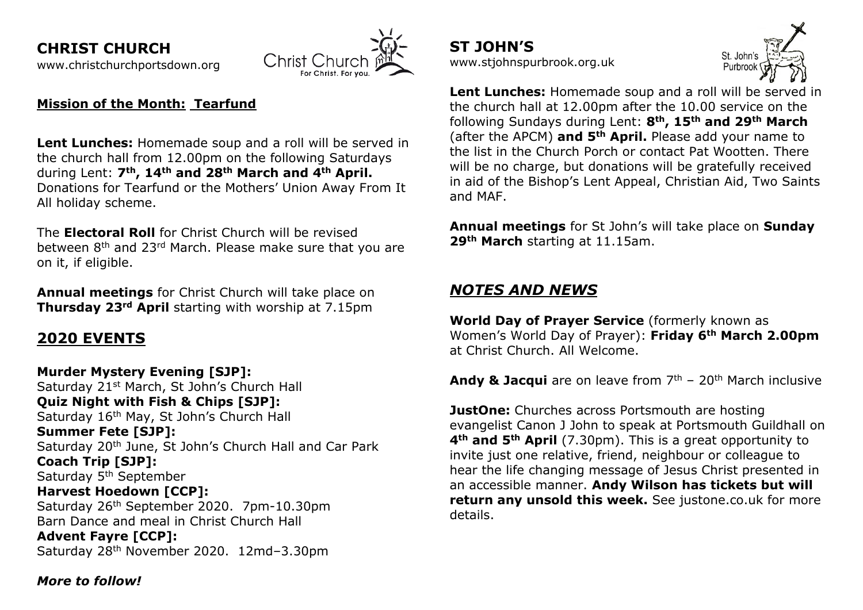**CHRIST CHURCH**  [www.christchurchportsdown.org](http://www.christchurchportsdown.org/) 



#### **Mission of the Month: Tearfund**

**Lent Lunches:** Homemade soup and a roll will be served in the church hall from 12.00pm on the following Saturdays during Lent: **7th, 14th and 28th March and 4th April.**  Donations for Tearfund or the Mothers' Union Away From It All holiday scheme.

The **Electoral Roll** for Christ Church will be revised between 8<sup>th</sup> and 23<sup>rd</sup> March. Please make sure that you are on it, if eligible.

**Annual meetings** for Christ Church will take place on **Thursday 23rd April** starting with worship at 7.15pm

# **2020 EVENTS**

**Murder Mystery Evening [SJP]:** Saturday 21<sup>st</sup> March, St John's Church Hall **Quiz Night with Fish & Chips [SJP]:** Saturday 16<sup>th</sup> May, St John's Church Hall **Summer Fete [SJP]:** Saturday 20th June, St John's Church Hall and Car Park **Coach Trip [SJP]:** Saturday 5<sup>th</sup> September **Harvest Hoedown [CCP]:** Saturday 26th September 2020. 7pm-10.30pm Barn Dance and meal in Christ Church Hall **Advent Fayre [CCP]:** Saturday 28th November 2020. 12md–3.30pm

**ST JOHN'S** [www.stjohnspurbrook.org.uk](http://www.stjohnspurbrook.org.uk/)



**Lent Lunches:** Homemade soup and a roll will be served in the church hall at 12.00pm after the 10.00 service on the following Sundays during Lent: **8th, 15th and 29th March** (after the APCM) **and 5th April.** Please add your name to the list in the Church Porch or contact Pat Wootten. There will be no charge, but donations will be gratefully received in aid of the Bishop's Lent Appeal, Christian Aid, Two Saints and MAF.

**Annual meetings** for St John's will take place on **Sunday 29th March** starting at 11.15am.

### *NOTES AND NEWS*

**World Day of Prayer Service** (formerly known as Women's World Day of Prayer): **Friday 6th March 2.00pm** at Christ Church. All Welcome.

**Andy & Jacqui** are on leave from 7<sup>th</sup> - 20<sup>th</sup> March inclusive

**JustOne:** Churches across Portsmouth are hosting evangelist Canon J John to speak at Portsmouth Guildhall on **4th and 5th April** (7.30pm). This is a great opportunity to invite just one relative, friend, neighbour or colleague to hear the life changing message of Jesus Christ presented in an accessible manner. **Andy Wilson has tickets but will return any unsold this week.** See justone.co.uk for more details.

*More to follow!*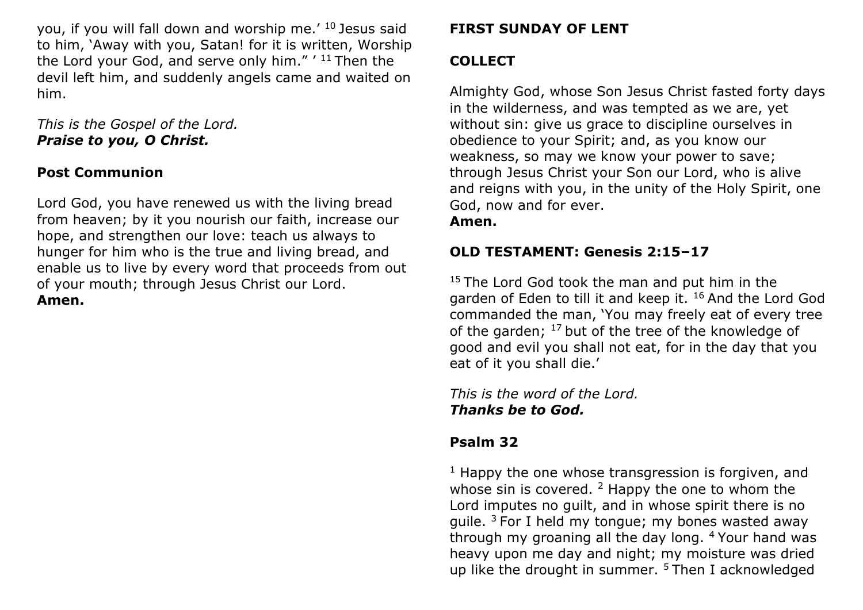you, if you will fall down and worship me.' <sup>10</sup> Jesus said to him, 'Away with you, Satan! for it is written, Worship the Lord your God, and serve only him."  $'$  <sup>11</sup> Then the devil left him, and suddenly angels came and waited on him.

*This is the Gospel of the Lord. Praise to you, O Christ.*

### **Post Communion**

Lord God, you have renewed us with the living bread from heaven; by it you nourish our faith, increase our hope, and strengthen our love: teach us always to hunger for him who is the true and living bread, and enable us to live by every word that proceeds from out of your mouth; through Jesus Christ our Lord. **Amen.**

### **FIRST SUNDAY OF LENT**

#### **COLLECT**

Almighty God, whose Son Jesus Christ fasted forty days in the wilderness, and was tempted as we are, yet without sin: give us grace to discipline ourselves in obedience to your Spirit; and, as you know our weakness, so may we know your power to save; through Jesus Christ your Son our Lord, who is alive and reigns with you, in the unity of the Holy Spirit, one God, now and for ever. **Amen.**

## **OLD TESTAMENT: Genesis 2:15–17**

 $15$  The Lord God took the man and put him in the garden of Eden to till it and keep it. <sup>16</sup> And the Lord God commanded the man, 'You may freely eat of every tree of the garden;  $17$  but of the tree of the knowledge of good and evil you shall not eat, for in the day that you eat of it you shall die.'

*This is the word of the Lord. Thanks be to God.*

### **Psalm 32**

 $1$  Happy the one whose transgression is forgiven, and whose sin is covered.  $2$  Happy the one to whom the Lord imputes no guilt, and in whose spirit there is no quile.  $3$  For I held my tongue; my bones wasted away through my groaning all the day long. <sup>4</sup>Your hand was heavy upon me day and night; my moisture was dried up like the drought in summer. 5 Then I acknowledged